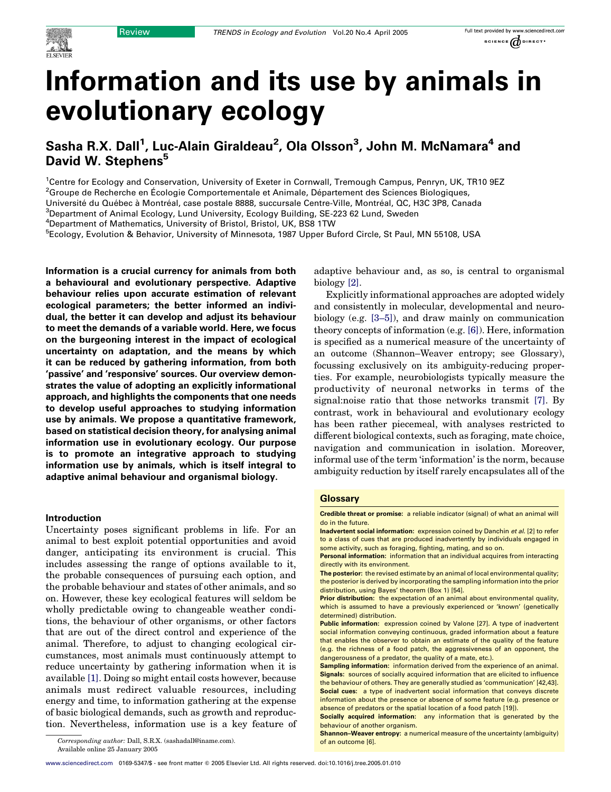

# Information and its use by animals in evolutionary ecology

# Sasha R.X. Dall<sup>1</sup>, Luc-Alain Giraldeau<sup>2</sup>, Ola Olsson<sup>3</sup>, John M. McNamara<sup>4</sup> and David W. Stephens<sup>5</sup>

<sup>1</sup>Centre for Ecology and Conservation, University of Exeter in Cornwall, Tremough Campus, Penryn, UK, TR10 9EZ <sup>2</sup>Groupe de Recherche en Écologie Comportementale et Animale, Département des Sciences Biologiques,

Université du Québec à Montréal, case postale 8888, succursale Centre-Ville, Montréal, QC, H3C 3P8, Canada

<sup>3</sup>Department of Animal Ecology, Lund University, Ecology Building, SE-223 62 Lund, Sweden

4 Department of Mathematics, University of Bristol, Bristol, UK, BS8 1TW

<sup>5</sup>Ecology, Evolution & Behavior, University of Minnesota, 1987 Upper Buford Circle, St Paul, MN 55108, USA

Information is a crucial currency for animals from both a behavioural and evolutionary perspective. Adaptive behaviour relies upon accurate estimation of relevant ecological parameters; the better informed an individual, the better it can develop and adjust its behaviour to meet the demands of a variable world. Here, we focus on the burgeoning interest in the impact of ecological uncertainty on adaptation, and the means by which it can be reduced by gathering information, from both 'passive' and 'responsive' sources. Our overview demonstrates the value of adopting an explicitly informational approach, and highlights the components that one needs to develop useful approaches to studying information use by animals. We propose a quantitative framework, based on statistical decision theory, for analysing animal information use in evolutionary ecology. Our purpose is to promote an integrative approach to studying information use by animals, which is itself integral to adaptive animal behaviour and organismal biology.

# Introduction

Uncertainty poses significant problems in life. For an animal to best exploit potential opportunities and avoid danger, anticipating its environment is crucial. This includes assessing the range of options available to it, the probable consequences of pursuing each option, and the probable behaviour and states of other animals, and so on. However, these key ecological features will seldom be wholly predictable owing to changeable weather conditions, the behaviour of other organisms, or other factors that are out of the direct control and experience of the animal. Therefore, to adjust to changing ecological circumstances, most animals must continuously attempt to reduce uncertainty by gathering information when it is available [\[1\]](#page-5-0). Doing so might entail costs however, because animals must redirect valuable resources, including energy and time, to information gathering at the expense of basic biological demands, such as growth and reproduction. Nevertheless, information use is a key feature of

Corresponding author: Dall, S.R.X. (sashadall@iname.com). **of an outcome [6]. of an outcome [6].** Available online 25 January 2005

adaptive behaviour and, as so, is central to organismal biology [\[2\]](#page-5-0).

Explicitly informational approaches are adopted widely and consistently in molecular, developmental and neurobiology (e.g. [\[3–5\]\)](#page-5-0), and draw mainly on communication theory concepts of information (e.g. [\[6\]](#page-5-0)). Here, information is specified as a numerical measure of the uncertainty of an outcome (Shannon–Weaver entropy; see Glossary), focussing exclusively on its ambiguity-reducing properties. For example, neurobiologists typically measure the productivity of neuronal networks in terms of the signal:noise ratio that those networks transmit [\[7\].](#page-5-0) By contrast, work in behavioural and evolutionary ecology has been rather piecemeal, with analyses restricted to different biological contexts, such as foraging, mate choice, navigation and communication in isolation. Moreover, informal use of the term 'information' is the norm, because ambiguity reduction by itself rarely encapsulates all of the

# **Glossary**

Credible threat or promise: a reliable indicator (signal) of what an animal will do in the future.

Inadvertent social information: expression coined by Danchin et al. [2] to refer to a class of cues that are produced inadvertently by individuals engaged in some activity, such as foraging, fighting, mating, and so on.

Personal information: information that an individual acquires from interacting directly with its environment.

The posterior: the revised estimate by an animal of local environmental quality; the posterior is derived by incorporating the sampling information into the prior distribution, using Bayes' theorem (Box 1) [54].

Prior distribution: the expectation of an animal about environmental quality, which is assumed to have a previously experienced or 'known' (genetically determined) distribution.

**Public information:** expression coined by Valone [27]. A type of inadvertent social information conveying continuous, graded information about a feature that enables the observer to obtain an estimate of the quality of the feature (e.g. the richness of a food patch, the aggressiveness of an opponent, the dangerousness of a predator, the quality of a mate, etc.).

Sampling information: information derived from the experience of an animal. Signals: sources of socially acquired information that are elicited to influence the behaviour of others. They are generally studied as 'communication' [42,43]. Social cues: a type of inadvertent social information that conveys discrete information about the presence or absence of some feature (e.g. presence or absence of predators or the spatial location of a food patch [19]).

Socially acquired information: any information that is generated by the behaviour of another organism.

Shannon–Weaver entropy: a numerical measure of the uncertainty (ambiguity)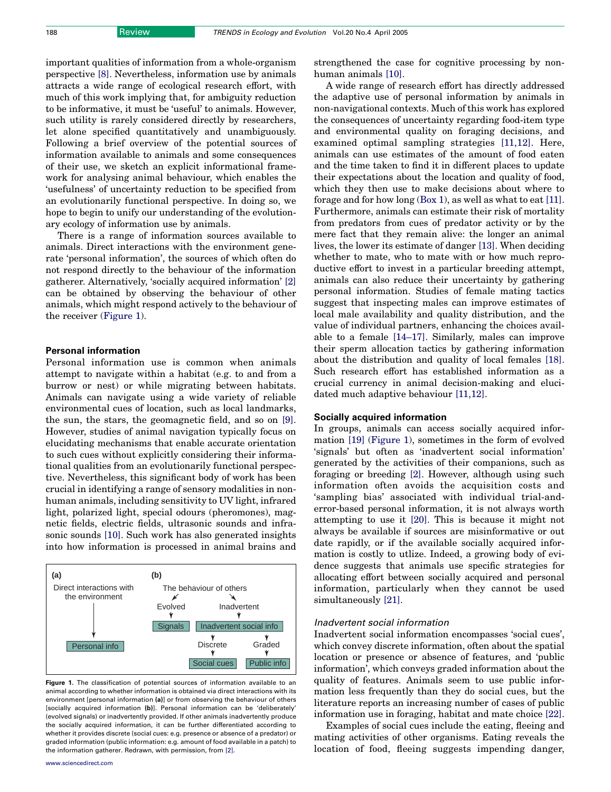important qualities of information from a whole-organism perspective [\[8\].](#page-5-0) Nevertheless, information use by animals attracts a wide range of ecological research effort, with much of this work implying that, for ambiguity reduction to be informative, it must be 'useful' to animals. However, such utility is rarely considered directly by researchers, let alone specified quantitatively and unambiguously. Following a brief overview of the potential sources of information available to animals and some consequences of their use, we sketch an explicit informational framework for analysing animal behaviour, which enables the 'usefulness' of uncertainty reduction to be specified from an evolutionarily functional perspective. In doing so, we hope to begin to unify our understanding of the evolutionary ecology of information use by animals.

There is a range of information sources available to animals. Direct interactions with the environment generate 'personal information', the sources of which often do not respond directly to the behaviour of the information gatherer. Alternatively, 'socially acquired information' [\[2\]](#page-5-0) can be obtained by observing the behaviour of other animals, which might respond actively to the behaviour of the receiver (Figure 1).

# Personal information

Personal information use is common when animals attempt to navigate within a habitat (e.g. to and from a burrow or nest) or while migrating between habitats. Animals can navigate using a wide variety of reliable environmental cues of location, such as local landmarks, the sun, the stars, the geomagnetic field, and so on [\[9\]](#page-5-0). However, studies of animal navigation typically focus on elucidating mechanisms that enable accurate orientation to such cues without explicitly considering their informational qualities from an evolutionarily functional perspective. Nevertheless, this significant body of work has been crucial in identifying a range of sensory modalities in nonhuman animals, including sensitivity to UV light, infrared light, polarized light, special odours (pheromones), magnetic fields, electric fields, ultrasonic sounds and infrasonic sounds [\[10\]](#page-5-0). Such work has also generated insights into how information is processed in animal brains and



Figure 1. The classification of potential sources of information available to an animal according to whether information is obtained via direct interactions with its environment [personal information (a)] or from observing the behaviour of others [socially acquired information (b)]. Personal information can be 'deliberately' (evolved signals) or inadvertently provided. If other animals inadvertently produce the socially acquired information, it can be further differentiated according to whether it provides discrete (social cues: e.g. presence or absence of a predator) or graded information (public information: e.g. amount of food available in a patch) to the information gatherer. Redrawn, with permission, from [\[2\].](#page-5-0)

strengthened the case for cognitive processing by nonhuman animals [\[10\]](#page-5-0).

A wide range of research effort has directly addressed the adaptive use of personal information by animals in non-navigational contexts. Much of this work has explored the consequences of uncertainty regarding food-item type and environmental quality on foraging decisions, and examined optimal sampling strategies [\[11,12\]](#page-5-0). Here, animals can use estimates of the amount of food eaten and the time taken to find it in different places to update their expectations about the location and quality of food, which they then use to make decisions about where to forage and for how long (Box 1), as well as what to eat [\[11\]](#page-5-0). Furthermore, animals can estimate their risk of mortality from predators from cues of predator activity or by the mere fact that they remain alive: the longer an animal lives, the lower its estimate of danger [\[13\]](#page-5-0). When deciding whether to mate, who to mate with or how much reproductive effort to invest in a particular breeding attempt, animals can also reduce their uncertainty by gathering personal information. Studies of female mating tactics suggest that inspecting males can improve estimates of local male availability and quality distribution, and the value of individual partners, enhancing the choices available to a female [\[14–17\]](#page-5-0). Similarly, males can improve their sperm allocation tactics by gathering information about the distribution and quality of local females [\[18\]](#page-5-0). Such research effort has established information as a crucial currency in animal decision-making and elucidated much adaptive behaviour [\[11,12\].](#page-5-0)

# Socially acquired information

In groups, animals can access socially acquired information [\[19\]](#page-5-0) (Figure 1), sometimes in the form of evolved 'signals' but often as 'inadvertent social information' generated by the activities of their companions, such as foraging or breeding [\[2\]](#page-5-0). However, although using such information often avoids the acquisition costs and 'sampling bias' associated with individual trial-anderror-based personal information, it is not always worth attempting to use it [\[20\]](#page-5-0). This is because it might not always be available if sources are misinformative or out date rapidly, or if the available socially acquired information is costly to utlize. Indeed, a growing body of evidence suggests that animals use specific strategies for allocating effort between socially acquired and personal information, particularly when they cannot be used simultaneously [\[21\]](#page-5-0).

### Inadvertent social information

Inadvertent social information encompasses 'social cues', which convey discrete information, often about the spatial location or presence or absence of features, and 'public information', which conveys graded information about the quality of features. Animals seem to use public information less frequently than they do social cues, but the literature reports an increasing number of cases of public information use in foraging, habitat and mate choice [\[22\]](#page-5-0).

Examples of social cues include the eating, fleeing and mating activities of other organisms. Eating reveals the location of food, fleeing suggests impending danger,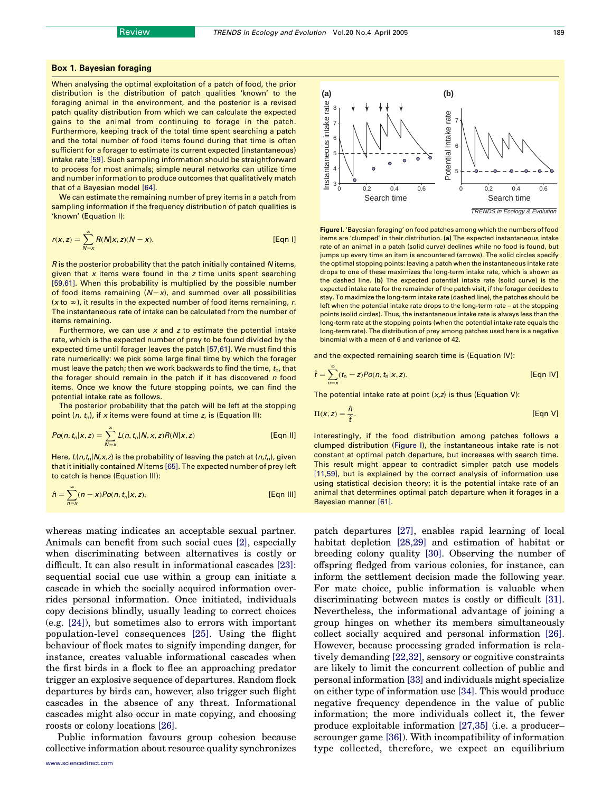### Box 1. Bayesian foraging

When analysing the optimal exploitation of a patch of food, the prior distribution is the distribution of patch qualities 'known' to the foraging animal in the environment, and the posterior is a revised patch quality distribution from which we can calculate the expected gains to the animal from continuing to forage in the patch. Furthermore, keeping track of the total time spent searching a patch and the total number of food items found during that time is often sufficient for a forager to estimate its current expected (instantaneous) intake rate [\[59\].](#page-6-0) Such sampling information should be straightforward to process for most animals; simple neural networks can utilize time and number information to produce outcomes that qualitatively match that of a Bayesian model [\[64\].](#page-6-0)

We can estimate the remaining number of prey items in a patch from sampling information if the frequency distribution of patch qualities is 'known' (Equation I):

$$
r(x, z) = \sum_{N=x}^{\infty} R(N|x, z)(N - x).
$$
 [Eqn 1]

R is the posterior probability that the patch initially contained N items, given that  $x$  items were found in the  $z$  time units spent searching [\[59,61\]](#page-6-0). When this probability is multiplied by the possible number of food items remaining  $(N-x)$ , and summed over all possibilities ( $x$  to  $\infty$ ), it results in the expected number of food items remaining, r. The instantaneous rate of intake can be calculated from the number of items remaining.

Furthermore, we can use  $x$  and  $z$  to estimate the potential intake rate, which is the expected number of prey to be found divided by the expected time until forager leaves the patch [\[57,61\]](#page-6-0). We must find this rate numerically: we pick some large final time by which the forager must leave the patch; then we work backwards to find the time,  $t<sub>n</sub>$ , that the forager should remain in the patch if it has discovered n food items. Once we know the future stopping points, we can find the potential intake rate as follows.

The posterior probability that the patch will be left at the stopping point  $(n, t_n)$ , if x items were found at time z, is (Equation II):

$$
Po(n, t_n | x, z) = \sum_{N=x}^{\infty} L(n, t_n | N, x, z) R(N | x, z)
$$
 [Eqn II]

Here,  $L(n,t_n|N,x,z)$  is the probability of leaving the patch at  $(n,t_n)$ , given that it initially contained N items [\[65\].](#page-6-0) The expected number of prey left to catch is hence (Equation III):

$$
\hat{n} = \sum_{n=x}^{\infty} (n-x) Po(n, t_n | x, z),
$$
 [Eqn III]

whereas mating indicates an acceptable sexual partner. Animals can benefit from such social cues [\[2\]](#page-5-0), especially when discriminating between alternatives is costly or difficult. It can also result in informational cascades [\[23\]](#page-5-0): sequential social cue use within a group can initiate a cascade in which the socially acquired information overrides personal information. Once initiated, individuals copy decisions blindly, usually leading to correct choices (e.g. [\[24\]](#page-5-0)), but sometimes also to errors with important population-level consequences [\[25\].](#page-5-0) Using the flight behaviour of flock mates to signify impending danger, for instance, creates valuable informational cascades when the first birds in a flock to flee an approaching predator trigger an explosive sequence of departures. Random flock departures by birds can, however, also trigger such flight cascades in the absence of any threat. Informational cascades might also occur in mate copying, and choosing roosts or colony locations [\[26\]](#page-5-0).

Public information favours group cohesion because collective information about resource quality synchronizes



Figure I. 'Bayesian foraging' on food patches among which the numbers of food items are 'clumped' in their distribution. (a) The expected instantaneous intake rate of an animal in a patch (solid curve) declines while no food is found, but jumps up every time an item is encountered (arrows). The solid circles specify the optimal stopping points: leaving a patch when the instantaneous intake rate drops to one of these maximizes the long-term intake rate, which is shown as the dashed line. (b) The expected potential intake rate (solid curve) is the expected intake rate for the remainder of the patch visit, if the forager decides to stay. To maximize the long-term intake rate (dashed line), the patches should be left when the potential intake rate drops to the long-term rate – at the stopping points (solid circles). Thus, the instantaneous intake rate is always less than the long-term rate at the stopping points (when the potential intake rate equals the long-term rate). The distribution of prey among patches used here is a negative binomial with a mean of 6 and variance of 42.

and the expected remaining search time is (Equation IV):

$$
\hat{t} = \sum_{n=x}^{\infty} (t_n - z) Po(n, t_n | x, z).
$$
 [Eqn IV]

The potential intake rate at point  $(x, z)$  is thus (Equation V):

$$
\Pi(x, z) = \frac{\hat{n}}{\hat{t}}.
$$
 [Eqn V]

Interestingly, if the food distribution among patches follows a clumped distribution (Figure I), the instantaneous intake rate is not constant at optimal patch departure, but increases with search time. This result might appear to contradict simpler patch use models [\[11,59\]](#page-5-0), but is explained by the correct analysis of information use using statistical decision theory; it is the potential intake rate of an animal that determines optimal patch departure when it forages in a Bayesian manner [\[61\].](#page-6-0)

patch departures [\[27\],](#page-5-0) enables rapid learning of local habitat depletion [\[28,29\]](#page-5-0) and estimation of habitat or breeding colony quality [\[30\].](#page-5-0) Observing the number of offspring fledged from various colonies, for instance, can inform the settlement decision made the following year. For mate choice, public information is valuable when discriminating between mates is costly or difficult [\[31\]](#page-5-0). Nevertheless, the informational advantage of joining a group hinges on whether its members simultaneously collect socially acquired and personal information [\[26\]](#page-5-0). However, because processing graded information is relatively demanding [\[22,32\],](#page-5-0) sensory or cognitive constraints are likely to limit the concurrent collection of public and personal information [\[33\]](#page-5-0) and individuals might specialize on either type of information use [\[34\].](#page-5-0) This would produce negative frequency dependence in the value of public information; the more individuals collect it, the fewer produce exploitable information [\[27,35\]](#page-5-0) (i.e. a producer– scrounger game [\[36\]](#page-5-0)). With incompatibility of information type collected, therefore, we expect an equilibrium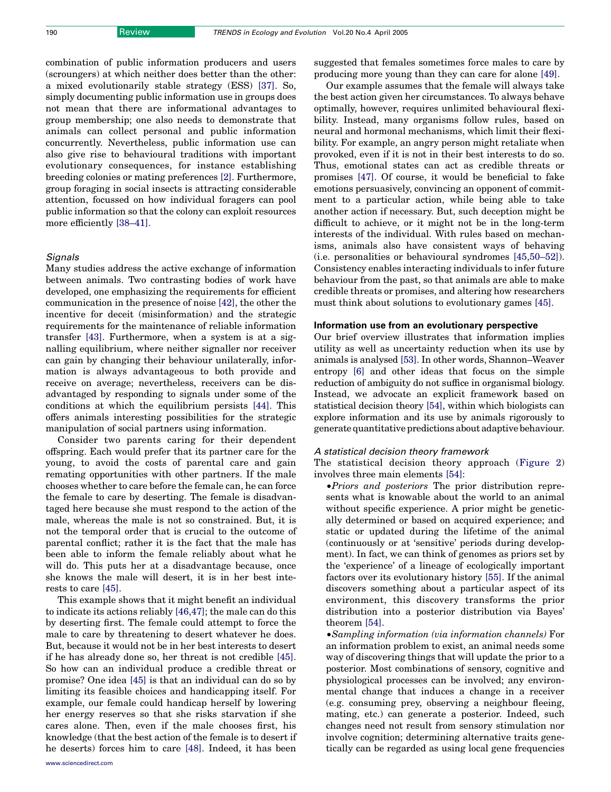combination of public information producers and users (scroungers) at which neither does better than the other: a mixed evolutionarily stable strategy (ESS) [\[37\]](#page-5-0). So, simply documenting public information use in groups does not mean that there are informational advantages to group membership; one also needs to demonstrate that animals can collect personal and public information concurrently. Nevertheless, public information use can also give rise to behavioural traditions with important evolutionary consequences, for instance establishing breeding colonies or mating preferences [\[2\]](#page-5-0). Furthermore, group foraging in social insects is attracting considerable attention, focussed on how individual foragers can pool public information so that the colony can exploit resources more efficiently [\[38–41\].](#page-6-0)

# **Signals**

Many studies address the active exchange of information between animals. Two contrasting bodies of work have developed, one emphasizing the requirements for efficient communication in the presence of noise [\[42\],](#page-6-0) the other the incentive for deceit (misinformation) and the strategic requirements for the maintenance of reliable information transfer [\[43\]](#page-6-0). Furthermore, when a system is at a signalling equilibrium, where neither signaller nor receiver can gain by changing their behaviour unilaterally, information is always advantageous to both provide and receive on average; nevertheless, receivers can be disadvantaged by responding to signals under some of the conditions at which the equilibrium persists [\[44\]](#page-6-0). This offers animals interesting possibilities for the strategic manipulation of social partners using information.

Consider two parents caring for their dependent offspring. Each would prefer that its partner care for the young, to avoid the costs of parental care and gain remating opportunities with other partners. If the male chooses whether to care before the female can, he can force the female to care by deserting. The female is disadvantaged here because she must respond to the action of the male, whereas the male is not so constrained. But, it is not the temporal order that is crucial to the outcome of parental conflict; rather it is the fact that the male has been able to inform the female reliably about what he will do. This puts her at a disadvantage because, once she knows the male will desert, it is in her best interests to care [\[45\]](#page-6-0).

This example shows that it might benefit an individual to indicate its actions reliably [\[46,47\]](#page-6-0); the male can do this by deserting first. The female could attempt to force the male to care by threatening to desert whatever he does. But, because it would not be in her best interests to desert if he has already done so, her threat is not credible [\[45\]](#page-6-0). So how can an individual produce a credible threat or promise? One idea [\[45\]](#page-6-0) is that an individual can do so by limiting its feasible choices and handicapping itself. For example, our female could handicap herself by lowering her energy reserves so that she risks starvation if she cares alone. Then, even if the male chooses first, his knowledge (that the best action of the female is to desert if he deserts) forces him to care [\[48\]](#page-6-0). Indeed, it has been

suggested that females sometimes force males to care by producing more young than they can care for alone [\[49\].](#page-6-0)

Our example assumes that the female will always take the best action given her circumstances. To always behave optimally, however, requires unlimited behavioural flexibility. Instead, many organisms follow rules, based on neural and hormonal mechanisms, which limit their flexibility. For example, an angry person might retaliate when provoked, even if it is not in their best interests to do so. Thus, emotional states can act as credible threats or promises [\[47\]](#page-6-0). Of course, it would be beneficial to fake emotions persuasively, convincing an opponent of commitment to a particular action, while being able to take another action if necessary. But, such deception might be difficult to achieve, or it might not be in the long-term interests of the individual. With rules based on mechanisms, animals also have consistent ways of behaving (i.e. personalities or behavioural syndromes [\[45,50–52\]](#page-6-0)). Consistency enables interacting individuals to infer future behaviour from the past, so that animals are able to make credible threats or promises, and altering how researchers must think about solutions to evolutionary games [\[45\].](#page-6-0)

# Information use from an evolutionary perspective

Our brief overview illustrates that information implies utility as well as uncertainty reduction when its use by animals is analysed [\[53\].](#page-6-0) In other words, Shannon–Weaver entropy [\[6\]](#page-5-0) and other ideas that focus on the simple reduction of ambiguity do not suffice in organismal biology. Instead, we advocate an explicit framework based on statistical decision theory [\[54\],](#page-6-0) within which biologists can explore information and its use by animals rigorously to generate quantitative predictions about adaptive behaviour.

### A statistical decision theory framework

The statistical decision theory approach ([Figure 2\)](#page-4-0) involves three main elements [\[54\]:](#page-6-0)

†Priors and posteriors The prior distribution represents what is knowable about the world to an animal without specific experience. A prior might be genetically determined or based on acquired experience; and static or updated during the lifetime of the animal (continuously or at 'sensitive' periods during development). In fact, we can think of genomes as priors set by the 'experience' of a lineage of ecologically important factors over its evolutionary history [\[55\].](#page-6-0) If the animal discovers something about a particular aspect of its environment, this discovery transforms the prior distribution into a posterior distribution via Bayes' theorem [\[54\].](#page-6-0)

†Sampling information (via information channels) For an information problem to exist, an animal needs some way of discovering things that will update the prior to a posterior. Most combinations of sensory, cognitive and physiological processes can be involved; any environmental change that induces a change in a receiver (e.g. consuming prey, observing a neighbour fleeing, mating, etc.) can generate a posterior. Indeed, such changes need not result from sensory stimulation nor involve cognition; determining alternative traits genetically can be regarded as using local gene frequencies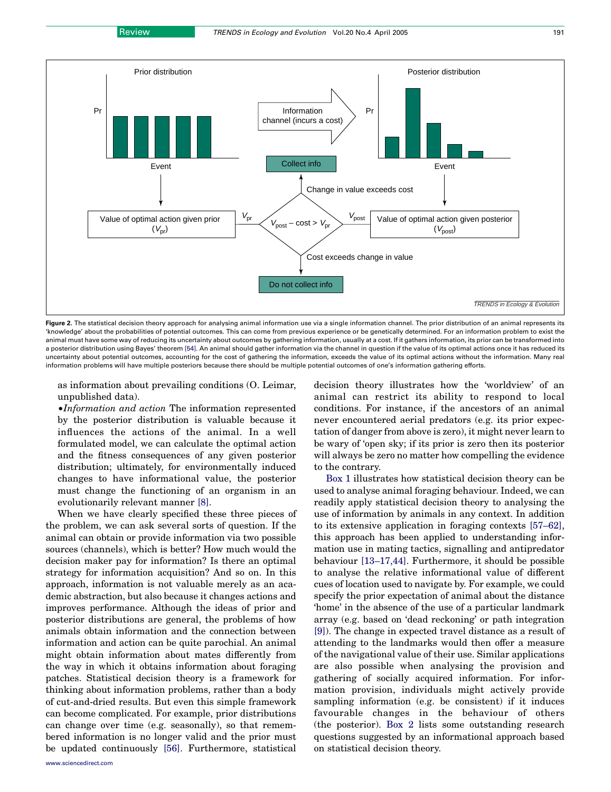<span id="page-4-0"></span>

Figure 2. The statistical decision theory approach for analysing animal information use via a single information channel. The prior distribution of an animal represents its 'knowledge' about the probabilities of potential outcomes. This can come from previous experience or be genetically determined. For an information problem to exist the animal must have some way of reducing its uncertainty about outcomes by gathering information, usually at a cost. If it gathers information, its prior can be transformed into a posterior distribution using Bayes' theorem [\[54\]](#page-6-0). An animal should gather information via the channel in question if the value of its optimal actions once it has reduced its uncertainty about potential outcomes, accounting for the cost of gathering the information, exceeds the value of its optimal actions without the information. Many real information problems will have multiple posteriors because there should be multiple potential outcomes of one's information gathering efforts.

as information about prevailing conditions (O. Leimar, unpublished data).

†Information and action The information represented by the posterior distribution is valuable because it influences the actions of the animal. In a well formulated model, we can calculate the optimal action and the fitness consequences of any given posterior distribution; ultimately, for environmentally induced changes to have informational value, the posterior must change the functioning of an organism in an evolutionarily relevant manner [\[8\]](#page-5-0).

When we have clearly specified these three pieces of the problem, we can ask several sorts of question. If the animal can obtain or provide information via two possible sources (channels), which is better? How much would the decision maker pay for information? Is there an optimal strategy for information acquisition? And so on. In this approach, information is not valuable merely as an academic abstraction, but also because it changes actions and improves performance. Although the ideas of prior and posterior distributions are general, the problems of how animals obtain information and the connection between information and action can be quite parochial. An animal might obtain information about mates differently from the way in which it obtains information about foraging patches. Statistical decision theory is a framework for thinking about information problems, rather than a body of cut-and-dried results. But even this simple framework can become complicated. For example, prior distributions can change over time (e.g. seasonally), so that remembered information is no longer valid and the prior must be updated continuously [\[56\].](#page-6-0) Furthermore, statistical

decision theory illustrates how the 'worldview' of an animal can restrict its ability to respond to local conditions. For instance, if the ancestors of an animal never encountered aerial predators (e.g. its prior expectation of danger from above is zero), it might never learn to be wary of 'open sky; if its prior is zero then its posterior will always be zero no matter how compelling the evidence to the contrary.

Box 1 illustrates how statistical decision theory can be used to analyse animal foraging behaviour. Indeed, we can readily apply statistical decision theory to analysing the use of information by animals in any context. In addition to its extensive application in foraging contexts [\[57–62\]](#page-6-0), this approach has been applied to understanding information use in mating tactics, signalling and antipredator behaviour [\[13–17,44\]](#page-5-0). Furthermore, it should be possible to analyse the relative informational value of different cues of location used to navigate by. For example, we could specify the prior expectation of animal about the distance 'home' in the absence of the use of a particular landmark array (e.g. based on 'dead reckoning' or path integration [\[9\]](#page-5-0)). The change in expected travel distance as a result of attending to the landmarks would then offer a measure of the navigational value of their use. Similar applications are also possible when analysing the provision and gathering of socially acquired information. For information provision, individuals might actively provide sampling information (e.g. be consistent) if it induces favourable changes in the behaviour of others (the posterior). Box 2 lists some outstanding research questions suggested by an informational approach based on statistical decision theory.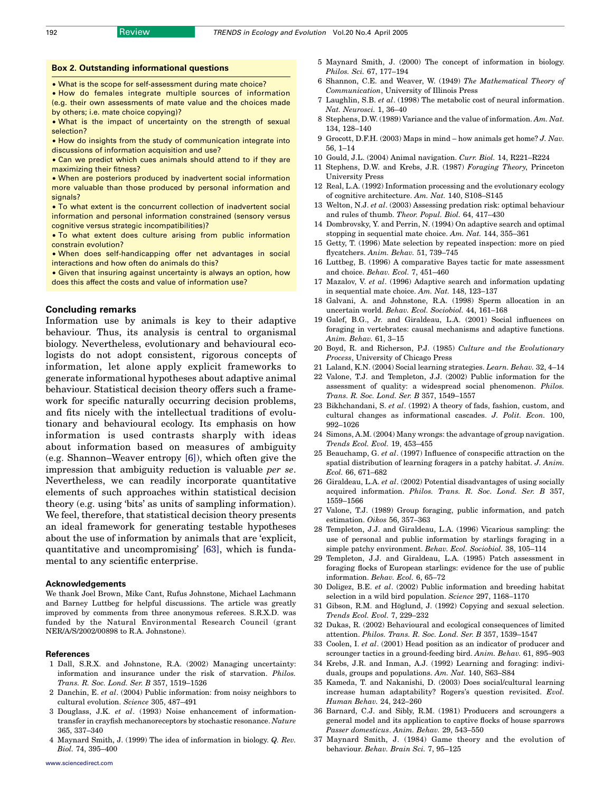#### <span id="page-5-0"></span>Box 2. Outstanding informational questions

† What is the scope for self-assessment during mate choice?

† How do females integrate multiple sources of information (e.g. their own assessments of mate value and the choices made by others; i.e. mate choice copying)?

• What is the impact of uncertainty on the strength of sexual selection?

• How do insights from the study of communication integrate into discussions of information acquisition and use?

• Can we predict which cues animals should attend to if they are maximizing their fitness?

• When are posteriors produced by inadvertent social information more valuable than those produced by personal information and signals?

• To what extent is the concurrent collection of inadvertent social information and personal information constrained (sensory versus cognitive versus strategic incompatibilities)?

• To what extent does culture arising from public information constrain evolution?

† When does self-handicapping offer net advantages in social interactions and how often do animals do this?

**• Given that insuring against uncertainty is always an option, how** does this affect the costs and value of information use?

# Concluding remarks

Information use by animals is key to their adaptive behaviour. Thus, its analysis is central to organismal biology. Nevertheless, evolutionary and behavioural ecologists do not adopt consistent, rigorous concepts of information, let alone apply explicit frameworks to generate informational hypotheses about adaptive animal behaviour. Statistical decision theory offers such a framework for specific naturally occurring decision problems, and fits nicely with the intellectual traditions of evolutionary and behavioural ecology. Its emphasis on how information is used contrasts sharply with ideas about information based on measures of ambiguity (e.g. Shannon–Weaver entropy [6]), which often give the impression that ambiguity reduction is valuable per se. Nevertheless, we can readily incorporate quantitative elements of such approaches within statistical decision theory (e.g. using 'bits' as units of sampling information). We feel, therefore, that statistical decision theory presents an ideal framework for generating testable hypotheses about the use of information by animals that are 'explicit, quantitative and uncompromising' [\[63\]](#page-6-0), which is fundamental to any scientific enterprise.

#### Acknowledgements

We thank Joel Brown, Mike Cant, Rufus Johnstone, Michael Lachmann and Barney Luttbeg for helpful discussions. The article was greatly improved by comments from three anonymous referees. S.R.X.D. was funded by the Natural Environmental Research Council (grant NER/A/S/2002/00898 to R.A. Johnstone).

#### References

- 1 Dall, S.R.X. and Johnstone, R.A. (2002) Managing uncertainty: information and insurance under the risk of starvation. Philos. Trans. R. Soc. Lond. Ser. B 357, 1519–1526
- 2 Danchin, E. et al. (2004) Public information: from noisy neighbors to cultural evolution. Science 305, 487–491
- 3 Douglass, J.K. et al. (1993) Noise enhancement of informationtransfer in crayfish mechanoreceptors by stochastic resonance. Nature 365, 337–340
- 4 Maynard Smith, J. (1999) The idea of information in biology. Q. Rev. Biol. 74, 395–400
- 5 Maynard Smith, J. (2000) The concept of information in biology. Philos. Sci. 67, 177–194
- 6 Shannon, C.E. and Weaver, W. (1949) The Mathematical Theory of Communication, University of Illinois Press
- 7 Laughlin, S.B. et al. (1998) The metabolic cost of neural information. Nat. Neurosci. 1, 36–40
- 8 Stephens, D.W. (1989) Variance and the value of information. Am. Nat. 134, 128–140
- 9 Grocott, D.F.H. (2003) Maps in mind how animals get home? J. Nav. 56, 1–14
- 10 Gould, J.L. (2004) Animal navigation. Curr. Biol. 14, R221–R224
- 11 Stephens, D.W. and Krebs, J.R. (1987) Foraging Theory, Princeton University Press
- 12 Real, L.A. (1992) Information processing and the evolutionary ecology of cognitive architecture. Am. Nat. 140, S108–S145
- 13 Welton, N.J. et al. (2003) Assessing predation risk: optimal behaviour and rules of thumb. Theor. Popul. Biol. 64, 417–430
- 14 Dombrovsky, Y. and Perrin, N. (1994) On adaptive search and optimal stopping in sequential mate choice. Am. Nat. 144, 355–361
- 15 Getty, T. (1996) Mate selection by repeated inspection: more on pied flycatchers. Anim. Behav. 51, 739–745
- 16 Luttbeg, B. (1996) A comparative Bayes tactic for mate assessment and choice. Behav. Ecol. 7, 451–460
- 17 Mazalov, V. et al. (1996) Adaptive search and information updating in sequential mate choice. Am. Nat. 148, 123–137
- 18 Galvani, A. and Johnstone, R.A. (1998) Sperm allocation in an uncertain world. Behav. Ecol. Sociobiol. 44, 161–168
- 19 Galef, B.G., Jr. and Giraldeau, L.A. (2001) Social influences on foraging in vertebrates: causal mechanisms and adaptive functions. Anim. Behav. 61, 3–15
- 20 Boyd, R. and Richerson, P.J. (1985) Culture and the Evolutionary Process, University of Chicago Press
- 21 Laland, K.N. (2004) Social learning strategies. Learn. Behav. 32, 4–14
- 22 Valone, T.J. and Templeton, J.J. (2002) Public information for the assessment of quality: a widespread social phenomenon. Philos. Trans. R. Soc. Lond. Ser. B 357, 1549–1557
- 23 Bikhchandani, S. et al. (1992) A theory of fads, fashion, custom, and cultural changes as informational cascades. J. Polit. Econ. 100, 992–1026
- 24 Simons, A.M. (2004) Many wrongs: the advantage of group navigation. Trends Ecol. Evol. 19, 453–455
- 25 Beauchamp, G. et al. (1997) Influence of conspecific attraction on the spatial distribution of learning foragers in a patchy habitat. J. Anim. Ecol. 66, 671–682
- 26 Giraldeau, L.A. et al. (2002) Potential disadvantages of using socially acquired information. Philos. Trans. R. Soc. Lond. Ser. B 357, 1559–1566
- 27 Valone, T.J. (1989) Group foraging, public information, and patch estimation. Oikos 56, 357–363
- 28 Templeton, J.J. and Giraldeau, L.A. (1996) Vicarious sampling: the use of personal and public information by starlings foraging in a simple patchy environment. Behav. Ecol. Sociobiol. 38, 105–114
- 29 Templeton, J.J. and Giraldeau, L.A. (1995) Patch assessment in foraging flocks of European starlings: evidence for the use of public information. Behav. Ecol. 6, 65–72
- 30 Doligez, B.E. et al. (2002) Public information and breeding habitat selection in a wild bird population. Science 297, 1168–1170
- 31 Gibson, R.M. and Höglund, J. (1992) Copying and sexual selection. Trends Ecol. Evol. 7, 229–232
- 32 Dukas, R. (2002) Behavioural and ecological consequences of limited attention. Philos. Trans. R. Soc. Lond. Ser. B 357, 1539–1547
- 33 Coolen, I. et al. (2001) Head position as an indicator of producer and scrounger tactics in a ground-feeding bird. Anim. Behav. 61, 895–903
- 34 Krebs, J.R. and Inman, A.J. (1992) Learning and foraging: individuals, groups and populations. Am. Nat. 140, S63–S84
- 35 Kameda, T. and Nakanishi, D. (2003) Does social/cultural learning increase human adaptability? Rogers's question revisited. Evol. Human Behav. 24, 242–260
- 36 Barnard, C.J. and Sibly, R.M. (1981) Producers and scroungers a general model and its application to captive flocks of house sparrows Passer domesticus. Anim. Behav. 29, 543–550
- 37 Maynard Smith, J. (1984) Game theory and the evolution of behaviour. Behav. Brain Sci. 7, 95–125